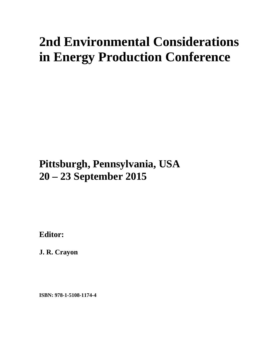# **2nd Environmental Considerations in Energy Production Conference**

## **Pittsburgh, Pennsylvania, USA 20 – 23 September 2015**

**Editor:** 

**J. R. Crayon** 

**ISBN: 978-1-5108-1174-4**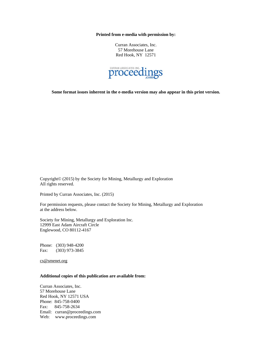**Printed from e-media with permission by:** 

Curran Associates, Inc. 57 Morehouse Lane Red Hook, NY 12571



**Some format issues inherent in the e-media version may also appear in this print version.** 

Copyright© (2015) by the Society for Mining, Metallurgy and Exploration All rights reserved.

Printed by Curran Associates, Inc. (2015)

For permission requests, please contact the Society for Mining, Metallurgy and Exploration at the address below.

Society for Mining, Metallurgy and Exploration Inc. 12999 East Adam Aircraft Circle Englewood, CO 80112-4167

Phone: (303) 948-4200 Fax: (303) 973-3845

cs@smenet.org

#### **Additional copies of this publication are available from:**

Curran Associates, Inc. 57 Morehouse Lane Red Hook, NY 12571 USA Phone: 845-758-0400 Fax: 845-758-2634 Email: curran@proceedings.com Web: www.proceedings.com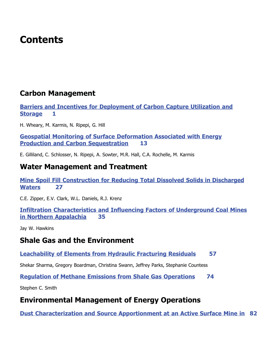## **Contents**

## **Carbon Management**

**Barriers and Incentives for Deployment of Carbon Capture Utilization and Storage 1** 

H. Wheary, M. Karmis, N. Ripepi, G. Hill

**Geospatial Monitoring of Surface Deformation Associated with Energy Production and Carbon Sequestration 13** 

E. Gilliland, C. Schlosser, N. Ripepi, A. Sowter, M.R. Hall, C.A. Rochelle, M. Karmis

### **Water Management and Treatment**

**Mine Spoil Fill Construction for Reducing Total Dissolved Solids in Discharged Waters** 27

C.E. Zipper, E.V. Clark, W.L. Daniels, R.J. Krenz

**Infiltration Characteristics and Influencing Factors of Underground Coal Mines in Northern Appalachia** 35

Jay W. Hawkins

### **Shale Gas and the Environment**

#### **Leachability of Elements from Hydraulic Fracturing Residuals 57**

Shekar Sharma, Gregory Boardman, Christina Swann, Jeffrey Parks, Stephanie Countess

**Requiation of Methane Emissions from Shale Gas Operations 74** 

Stephen C. Smith

## **Environmental Management of Energy Operations**

**Dust Characterization and Source Apportionment at an Active Surface Mine in 82**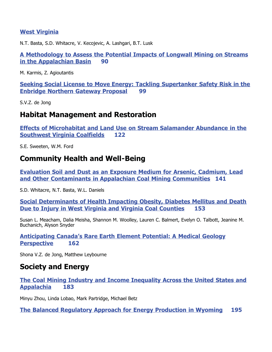#### **West Virginia**

N.T. Basta, S.D. Whitacre, V. Kecojevic, A. Lashgari, B.T. Lusk

A Methodology to Assess the Potential Impacts of Longwall Mining on Streams **<u>in the Appalachian Basin</u> 90** 

M. Karmis, Z. Agioutantis

**Seeking Social License to Move Energy: Tackling Supertanker Safety Risk in the Enbridge Northern Gateway Proposal 99** 

S.V.Z. de Jong

## **Habitat Management and Restoration**

**Effects of Microhabitat and Land Use on Stream Salamander Abundance in the Southwest Virginia Coalfields 122** 

S.E. Sweeten, W.M. Ford

## **Community Health and Well-Being**

**Evaluation Soil and Dust as an Exposure Medium for Arsenic, Cadmium, Lead** and Other Contaminants in Appalachian Coal Mining Communities 141

S.D. Whitacre, N.T. Basta, W.L. Daniels

**Social Determinants of Health Impacting Obesity, Diabetes Mellitus and Death Due to Injury in West Virginia and Virginia Coal Counties 153** 

Susan L. Meacham, Dalia Meisha, Shannon M. Woolley, Lauren C. Balmert, Evelyn O. Talbott, Jeanine M. Buchanich, Alyson Snyder

**Anticipating Canada's Rare Earth Element Potential: A Medical Geology Perspective** 162

Shona V.Z. de Jong, Matthew Leybourne

## **Society and Energy**

**The Coal Mining Industry and Income Inequality Across the United States and Appalachia** 183

Minyu Zhou, Linda Lobao, Mark Partridge, Michael Betz

**The Balanced Regulatory Approach for Energy Production in Wyoming 195**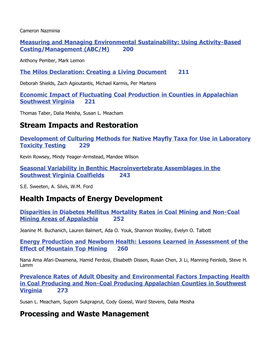Cameron Nazminia

**Measuring and Managing Environmental Sustainability: Using Activity-Based**  $\text{Costing/Mana}=$  (ABC/M) 200

Anthony Pember, Mark Lemon

**The Milos Declaration: Creating a Living Document 211** 

Deborah Shields, Zach Agioutantis, Michael Karmis, Per Martens

**Economic Impact of Fluctuating Coal Production in Counties in Appalachian Southwest Virginia 221** 

Thomas Taber, Dalia Meisha, Susan L. Meacham

## **Stream Impacts and Restoration**

**Development of Culturing Methods for Native Mayfly Taxa for Use in Laboratory Toxicity Testing 229** 

Kevin Rowsey, Mindy Yeager-Armstead, Mandee Wilson

**Seasonal Variability in Benthic Macroinvertebrate Assemblages in the Southwest Virginia Coalfields 243** 

S.E. Sweeten, A. Silvis, W.M. Ford

## **Health Impacts of Energy Development**

**Disparities in Diabetes Mellitus Mortality Rates in Coal Mining and Non-Coal Mining Areas of Appalachia** 252

Jeanine M. Buchanich, Lauren Balmert, Ada O. Youk, Shannon Woolley, Evelyn O. Talbott

**Energy Production and Newborn Health: Lessons Learned in Assessment of the Effect of Mountain Top Mining 260** 

Nana Ama Afari-Dwamena, Hamid Ferdosi, Elisabeth Dissen, Rusan Chen, Ji Li, Manning Feinleib, Steve H. Lamm

**Prevalence Rates of Adult Obesity and Environmental Factors Impacting Health in Coal Producing and Non-Coal Producing Appalachian Counties in Southwest <u>Virginia</u>** 273

Susan L. Meacham, Suporn Sukpraprut, Cody Goessl, Ward Stevens, Dalia Meisha

## **Processing and Waste Management**